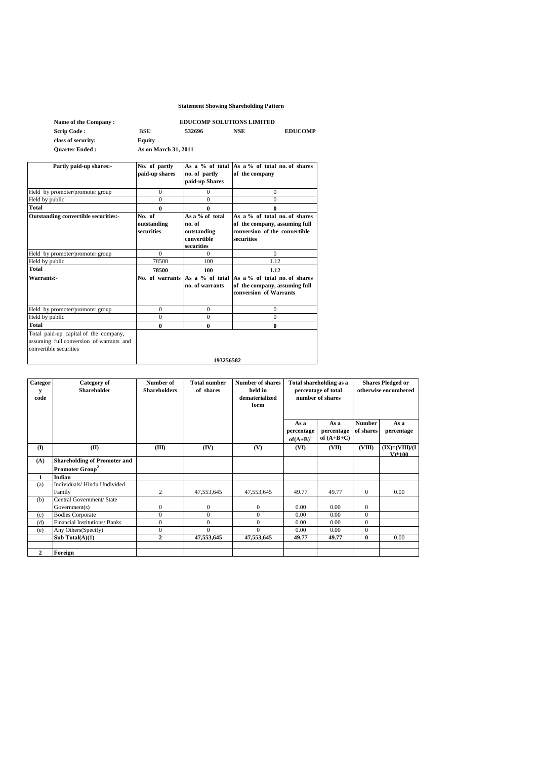# **Statement Showing Shareholding Pattern**

| Name of the Company:                                                                                        | <b>EDUCOMP SOLUTIONS LIMITED</b>    |                                                                       |                                                                                                               |  |
|-------------------------------------------------------------------------------------------------------------|-------------------------------------|-----------------------------------------------------------------------|---------------------------------------------------------------------------------------------------------------|--|
| <b>Scrip Code:</b>                                                                                          | BSE:                                | 532696                                                                | <b>NSE</b><br><b>EDUCOMP</b>                                                                                  |  |
| class of security:                                                                                          | <b>Equity</b>                       |                                                                       |                                                                                                               |  |
| <b>Ouarter Ended:</b>                                                                                       | As on March 31, 2011                |                                                                       |                                                                                                               |  |
| Partly paid-up shares:-                                                                                     | No. of partly<br>paid-up shares     | no. of partly<br>paid-up Shares                                       | As a $\%$ of total As a $\%$ of total no of shares<br>of the company                                          |  |
| Held by promoter/promoter group                                                                             | $\mathbf{0}$                        | $\mathbf{0}$                                                          | $\mathbf{0}$                                                                                                  |  |
| Held by public                                                                                              | $\theta$                            | $\theta$                                                              | $\Omega$                                                                                                      |  |
| Total                                                                                                       | $\bf{0}$                            | 0                                                                     | $\theta$                                                                                                      |  |
| Outstanding convertible securities:-                                                                        | No. of<br>outstanding<br>securities | As a % of total<br>no. of<br>outstanding<br>convertible<br>securities | As a % of total no. of shares<br>of the company, assuming full<br>conversion of the convertible<br>securities |  |
| Held by promoter/promoter group                                                                             | $\Omega$                            | $\Omega$                                                              | $\Omega$                                                                                                      |  |
| Held by public                                                                                              | 78500                               | 100                                                                   | 1.12                                                                                                          |  |
| Total                                                                                                       | 78500                               | 100                                                                   | 1.12                                                                                                          |  |
| Warrants:-                                                                                                  | No. of warrants                     | no. of warrants                                                       | As a % of total As a % of total no. of shares<br>of the company, assuming full<br>conversion of Warrants      |  |
| Held by promoter/promoter group                                                                             | $\Omega$                            | $\Omega$                                                              | $\Omega$                                                                                                      |  |
| Held by public                                                                                              | $\Omega$                            | $\Omega$                                                              | $\Omega$                                                                                                      |  |
| Total                                                                                                       | $\bf{0}$                            | $\bf{0}$                                                              | $\mathbf{0}$                                                                                                  |  |
| Total paid-up capital of the company,<br>assuming full conversion of warrants and<br>convertible securities |                                     | 193256582                                                             |                                                                                                               |  |

| Categor<br>у<br>code | <b>Category</b> of<br><b>Shareholder</b> | Number of<br><b>Shareholders</b> | <b>Total number</b><br>of shares | Number of shares<br>held in<br>dematerialized<br>form | Total shareholding as a<br>percentage of total<br>number of shares |                    | <b>Shares Pledged or</b><br>otherwise encumbered |                              |  |
|----------------------|------------------------------------------|----------------------------------|----------------------------------|-------------------------------------------------------|--------------------------------------------------------------------|--------------------|--------------------------------------------------|------------------------------|--|
|                      |                                          |                                  |                                  |                                                       | As a<br>percentage                                                 | As a<br>percentage | <b>Number</b><br>of shares                       | As a<br>percentage           |  |
|                      |                                          |                                  |                                  |                                                       | $of(A+B)^{1}$                                                      | of $(A+B+C)$       |                                                  |                              |  |
| $\mathbf{I}$         | (II)                                     | (III)                            | (IV)                             | (V)                                                   | (VI)                                                               | (VII)              | (VIII)                                           | $(IX)=(VIII)/(I$<br>$V^*100$ |  |
| (A)                  | <b>Shareholding of Promoter and</b>      |                                  |                                  |                                                       |                                                                    |                    |                                                  |                              |  |
|                      | Promoter Group <sup>2</sup>              |                                  |                                  |                                                       |                                                                    |                    |                                                  |                              |  |
| 1                    | Indian                                   |                                  |                                  |                                                       |                                                                    |                    |                                                  |                              |  |
| (a)                  | Individuals/Hindu Undivided<br>Family    | 2                                | 47,553,645                       | 47,553,645                                            | 49.77                                                              | 49.77              | $\overline{0}$                                   | 0.00                         |  |
| (b)                  | Central Government/ State                |                                  |                                  |                                                       |                                                                    |                    |                                                  |                              |  |
|                      | Government(s)                            | $\mathbf{0}$                     | $\boldsymbol{0}$                 | $\mathbf{0}$                                          | 0.00                                                               | 0.00               | $\mathbf{0}$                                     |                              |  |
| (c)                  | <b>Bodies Corporate</b>                  | $\mathbf{0}$                     | $\mathbf{0}$                     | $\mathbf{0}$                                          | 0.00                                                               | 0.00               | $\Omega$                                         |                              |  |
| (d)                  | Financial Institutions/ Banks            | $\mathbf{0}$                     | $\mathbf{0}$                     | $\mathbf{0}$                                          | 0.00                                                               | 0.00               | $\Omega$                                         |                              |  |
| (e)                  | Any Others(Specify)                      | $\mathbf{0}$                     | $\Omega$                         | $\Omega$                                              | 0.00                                                               | 0.00               | $\Omega$                                         |                              |  |
|                      | Sub Total $(A)(1)$                       | $\mathbf{2}$                     | 47,553,645                       | 47,553,645                                            | 49.77                                                              | 49.77              | 0                                                | 0.00                         |  |
|                      |                                          |                                  |                                  |                                                       |                                                                    |                    |                                                  |                              |  |
| $\mathbf{2}$         | Foreign                                  |                                  |                                  |                                                       |                                                                    |                    |                                                  |                              |  |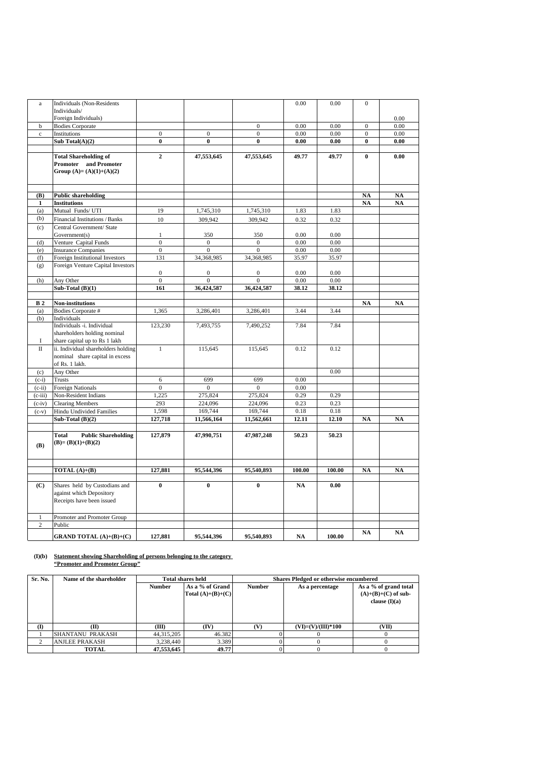| $\rm{a}$       | Individuals (Non-Residents                 |                  |                  |                  | 0.00      | 0.00   | $\boldsymbol{0}$ |               |
|----------------|--------------------------------------------|------------------|------------------|------------------|-----------|--------|------------------|---------------|
|                | Individuals/                               |                  |                  |                  |           |        |                  |               |
|                | Foreign Individuals)                       |                  |                  |                  |           |        |                  | 0.00          |
| b              | Bodies Corporate                           |                  |                  | $\boldsymbol{0}$ | 0.00      | 0.00   | $\mathbf{0}$     | 0.00          |
| $\mathbf c$    | Institutions                               | $\boldsymbol{0}$ | $\boldsymbol{0}$ | $\overline{0}$   | 0.00      | 0.00   | $\overline{0}$   | 0.00          |
|                | Sub Total $(A)(2)$                         | $\bf{0}$         | $\bf{0}$         | $\bf{0}$         | 0.00      | 0.00   | $\bf{0}$         | 0.00          |
|                |                                            |                  |                  |                  |           |        |                  |               |
|                | <b>Total Shareholding of</b>               | $\overline{2}$   | 47,553,645       | 47,553,645       | 49.77     | 49.77  | $\bf{0}$         | 0.00          |
|                | Promoter and Promoter                      |                  |                  |                  |           |        |                  |               |
|                | Group $(A)=(A)(1)+(A)(2)$                  |                  |                  |                  |           |        |                  |               |
|                |                                            |                  |                  |                  |           |        |                  |               |
|                |                                            |                  |                  |                  |           |        |                  |               |
| (B)            | <b>Public shareholding</b>                 |                  |                  |                  |           |        | <b>NA</b>        | <b>NA</b>     |
| $\mathbf{1}$   | <b>Institutions</b>                        |                  |                  |                  |           |        | NA               | <b>NA</b>     |
| (a)            | Mutual Funds/ UTI                          | 19               | 1,745,310        | 1,745,310        | 1.83      | 1.83   |                  |               |
| (b)            | Financial Institutions / Banks             | 10               | 309,942          | 309,942          | 0.32      | 0.32   |                  |               |
| (c)            | Central Government/ State                  |                  |                  |                  |           |        |                  |               |
|                | Government(s)                              | $\mathbf{1}$     | 350              | 350              | 0.00      | 0.00   |                  |               |
| (d)            | Venture Capital Funds                      | $\overline{0}$   | $\boldsymbol{0}$ | $\mathbf{0}$     | 0.00      | 0.00   |                  |               |
| (e)            | <b>Insurance Companies</b>                 | $\overline{0}$   | $\mathbf{0}$     | $\theta$         | 0.00      | 0.00   |                  |               |
| (f)            | Foreign Institutional Investors            | 131              | 34,368,985       | 34,368,985       | 35.97     | 35.97  |                  |               |
| (g)            | Foreign Venture Capital Investors          | $\boldsymbol{0}$ | $\boldsymbol{0}$ | $\boldsymbol{0}$ | 0.00      | 0.00   |                  |               |
| (h)            | Any Other                                  | $\overline{0}$   | $\overline{0}$   | $\mathbf{0}$     | 0.00      | 0.00   |                  |               |
|                | Sub-Total $(B)(1)$                         | 161              | 36,424,587       | 36,424,587       | 38.12     | 38.12  |                  |               |
|                |                                            |                  |                  |                  |           |        |                  |               |
| B <sub>2</sub> | Non-institutions                           |                  |                  |                  |           |        | <b>NA</b>        | NA            |
| (a)            | Bodies Corporate #                         | 1,365            | 3,286,401        | 3,286,401        | 3.44      | 3.44   |                  |               |
| (b)            | Individuals                                |                  |                  |                  |           |        |                  |               |
|                | Individuals -i. Individual                 | 123,230          | 7,493,755        | 7,490,252        | 7.84      | 7.84   |                  |               |
|                | shareholders holding nominal               |                  |                  |                  |           |        |                  |               |
| I              | share capital up to Rs 1 lakh              |                  |                  |                  |           |        |                  |               |
| $\mathbf{I}$   | ii. Individual shareholders holding        | $\mathbf{1}$     | 115,645          | 115,645          | 0.12      | 0.12   |                  |               |
|                | nominal share capital in excess            |                  |                  |                  |           |        |                  |               |
|                | of Rs. 1 lakh.                             |                  |                  |                  |           |        |                  |               |
| (c)            | Any Other                                  |                  |                  |                  |           | 0.00   |                  |               |
| $(c-i)$        | Trusts                                     | 6                | 699              | 699              | 0.00      |        |                  |               |
| $(c-ii)$       | Foreign Nationals                          | $\overline{0}$   | $\overline{0}$   | $\theta$         | 0.00      |        |                  |               |
| $(c-iii)$      | Non-Resident Indians                       | 1,225            | 275,824          | 275,824          | 0.29      | 0.29   |                  |               |
| $(c-iv)$       | <b>Clearing Members</b>                    | 293              | 224,096          | 224,096          | 0.23      | 0.23   |                  |               |
| $(c-v)$        | <b>Hindu Undivided Families</b>            | 1.598            | 169,744          | 169,744          | 0.18      | 0.18   |                  |               |
|                | Sub-Total $(B)(2)$                         | 127,718          | 11,566,164       | 11,562,661       | 12.11     | 12.10  | NA               | $\mathbf{NA}$ |
|                |                                            |                  |                  |                  |           |        |                  |               |
|                | <b>Total</b><br><b>Public Shareholding</b> | 127,879          | 47,990,751       | 47,987,248       | 50.23     | 50.23  |                  |               |
| (B)            | $(B)=(B)(1)+(B)(2)$                        |                  |                  |                  |           |        |                  |               |
|                |                                            |                  |                  |                  |           |        |                  |               |
|                |                                            |                  |                  |                  |           |        |                  |               |
|                | TOTAL $(A)+(B)$                            | 127,881          | 95,544,396       | 95,540,893       | 100.00    | 100.00 | <b>NA</b>        | <b>NA</b>     |
|                |                                            |                  |                  |                  |           |        |                  |               |
| (C)            | Shares held by Custodians and              | $\bf{0}$         | $\bf{0}$         | $\bf{0}$         | <b>NA</b> | 0.00   |                  |               |
|                | against which Depository                   |                  |                  |                  |           |        |                  |               |
|                | Receipts have been issued                  |                  |                  |                  |           |        |                  |               |
|                |                                            |                  |                  |                  |           |        |                  |               |
| $\mathbf{1}$   | Promoter and Promoter Group                |                  |                  |                  |           |        |                  |               |
| $\sqrt{2}$     | Public                                     |                  |                  |                  |           |        |                  |               |
|                | <b>GRAND TOTAL</b> $(A)+(B)+(C)$           | 127,881          | 95,544,396       | 95,540,893       | <b>NA</b> | 100.00 | NA               | NA            |
|                |                                            |                  |                  |                  |           |        |                  |               |

### **(I)(b) Statement showing Shareholding of persons belonging to the category "Promoter and Promoter Group"**

| Sr. No.      | Name of the shareholder |               | <b>Total shares held</b> | Shares Pledged or otherwise encumbered |                      |                       |
|--------------|-------------------------|---------------|--------------------------|----------------------------------------|----------------------|-----------------------|
|              |                         | <b>Number</b> | As a % of Grand          | <b>Number</b>                          | As a percentage      | As a % of grand total |
|              |                         |               | Total $(A)+(B)+(C)$      |                                        |                      | $(A)+(B)+(C)$ of sub- |
|              |                         |               |                          |                                        |                      | clause $(I)(a)$       |
|              |                         |               |                          |                                        |                      |                       |
|              |                         |               |                          |                                        |                      |                       |
| $\mathbf{I}$ | M                       | ŒЮ            | (IV)                     | Vì                                     | $(VI)=(V)/(III)*100$ | (VII)                 |
|              | SHANTANU PRAKASH        | 44, 315, 205  | 46.382                   |                                        |                      |                       |
|              | <b>ANJLEE PRAKASH</b>   | 3.238,440     | 3.389                    |                                        |                      |                       |
|              | <b>TOTAL</b>            | 47.553.645    | 49.77                    |                                        |                      |                       |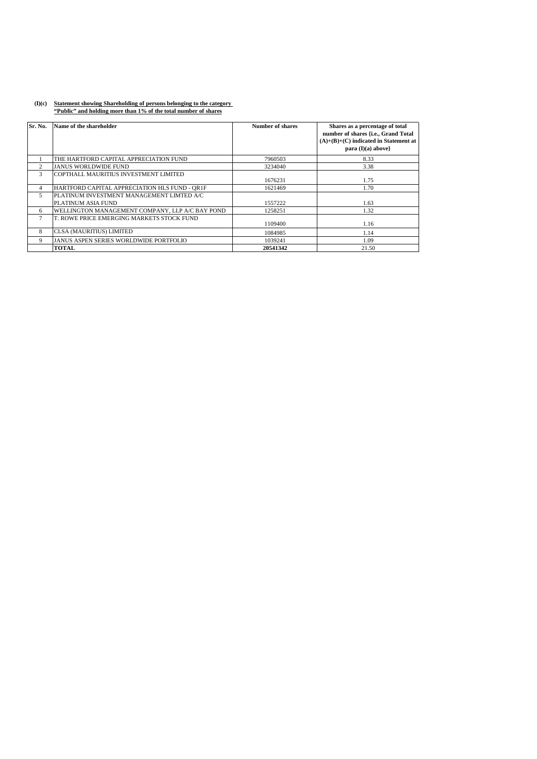## **(I)(c) Statement showing Shareholding of persons belonging to the category "Public" and holding more than 1% of the total number of shares**

| Sr. No.        | Name of the shareholder                         | Number of shares | Shares as a percentage of total<br>number of shares {i.e., Grand Total<br>$(A)+(B)+(C)$ indicated in Statement at<br>para $(I)(a)$ above} |
|----------------|-------------------------------------------------|------------------|-------------------------------------------------------------------------------------------------------------------------------------------|
|                | THE HARTFORD CAPITAL APPRECIATION FUND          | 7960503          | 8.33                                                                                                                                      |
| $\mathfrak{D}$ | <b>JANUS WORLDWIDE FUND</b>                     | 3234040          | 3.38                                                                                                                                      |
| 3              | COPTHALL MAURITIUS INVESTMENT LIMITED           | 1676231          | 1.75                                                                                                                                      |
| 4              | HARTFORD CAPITAL APPRECIATION HLS FUND - OR1F   | 1621469          | 1.70                                                                                                                                      |
| 5              | PLATINUM INVESTMENT MANAGEMENT LIMTED A/C       |                  |                                                                                                                                           |
|                | PLATINUM ASIA FUND                              | 1557222          | 1.63                                                                                                                                      |
| 6              | WELLINGTON MANAGEMENT COMPANY, LLP A/C BAY POND | 1258251          | 1.32                                                                                                                                      |
| 7              | T. ROWE PRICE EMERGING MARKETS STOCK FUND       | 1109400          | 1.16                                                                                                                                      |
| 8              | CLSA (MAURITIUS) LIMITED                        | 1084985          | 1.14                                                                                                                                      |
| 9              | JANUS ASPEN SERIES WORLDWIDE PORTFOLIO          | 1039241          | 1.09                                                                                                                                      |
|                | <b>TOTAL</b>                                    | 20541342         | 21.50                                                                                                                                     |